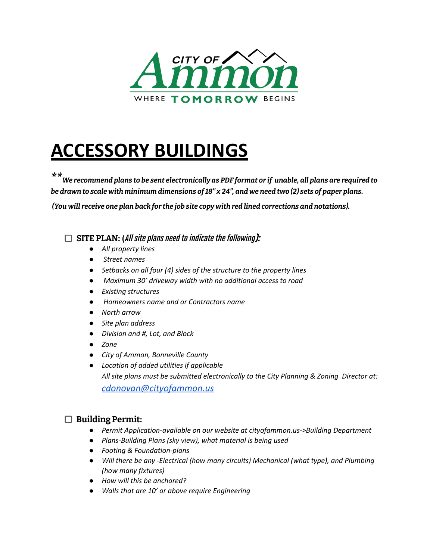

# **ACCESSORY BUILDINGS**

\* \* We recommend plans to be sent electronically as PDF format or if unable, all plans are required to be drawn to scale with minimum dimensions of 18" x 24", and we need two (2) sets of paper plans.

*(You will receive one plan back for the job site copy with red lined corrections and notations).*

**SITE PLAN: (**All site plans need to indicate the following):

- *● All property lines*
- *● Street names*
- *● Setbacks on all four (4) sides of the structure to the property lines*
- *● Maximum 30' driveway width with no additional access to road*
- *● Existing structures*
- *● Homeowners name and or Contractors name*
- *● North arrow*
- *● Site plan address*
- *● Division and #, Lot, and Block*
- *● Zone*
- *● City of Ammon, Bonneville County*
- *● Location of added utilities if applicable All site plans must be submitted electronically to the City Planning & Zoning Director at: [cdonovan@cityofammon.us](mailto:cdonovan@cityofammon.us)*

## **Building Permit:**

- *● Permit Application-available on our website at cityofammon.us->Building Department*
- *● Plans-Building Plans (sky view), what material is being used*
- *● Footing & Foundation-plans*
- *● Will there be any -Electrical (how many circuits) Mechanical (what type), and Plumbing (how many fixtures)*
- *● How will this be anchored?*
- *● Walls that are 10' or above require Engineering*